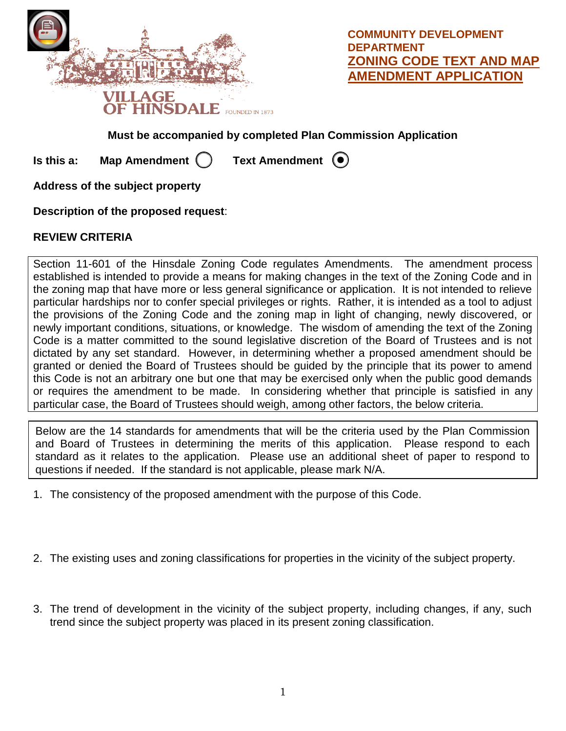

**COMMUNITY DEVELOPMENT DEPARTMENT ZONING CODE TEXT AND MAP AMENDMENT APPLICATION**

## **Must be accompanied by completed Plan Commission Application**

**Is this a:** Map Amendment  $\bigcap$  Text Amendment  $\bigcirc$ 

**Address of the subject property**

**Description of the proposed request**:

## **REVIEW CRITERIA**

Section 11-601 of the Hinsdale Zoning Code regulates Amendments. The amendment process established is intended to provide a means for making changes in the text of the Zoning Code and in the zoning map that have more or less general significance or application. It is not intended to relieve particular hardships nor to confer special privileges or rights. Rather, it is intended as a tool to adjust the provisions of the Zoning Code and the zoning map in light of changing, newly discovered, or newly important conditions, situations, or knowledge. The wisdom of amending the text of the Zoning Code is a matter committed to the sound legislative discretion of the Board of Trustees and is not dictated by any set standard. However, in determining whether a proposed amendment should be granted or denied the Board of Trustees should be guided by the principle that its power to amend this Code is not an arbitrary one but one that may be exercised only when the public good demands or requires the amendment to be made. In considering whether that principle is satisfied in any particular case, the Board of Trustees should weigh, among other factors, the below criteria.

Below are the 14 standards for amendments that will be the criteria used by the Plan Commission and Board of Trustees in determining the merits of this application. Please respond to each standard as it relates to the application. Please use an additional sheet of paper to respond to questions if needed. If the standard is not applicable, please mark N/A.

- 1. The consistency of the proposed amendment with the purpose of this Code.
- 2. The existing uses and zoning classifications for properties in the vicinity of the subject property.
- 3. The trend of development in the vicinity of the subject property, including changes, if any, such trend since the subject property was placed in its present zoning classification.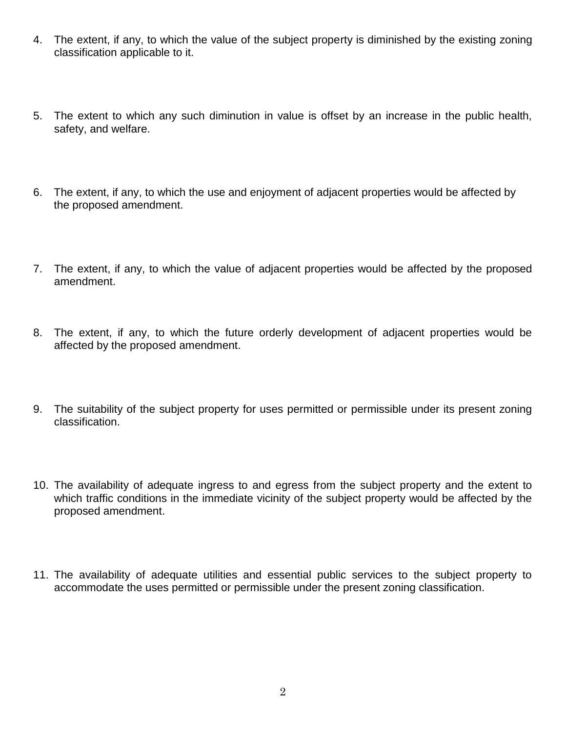- 4. The extent, if any, to which the value of the subject property is diminished by the existing zoning classification applicable to it.
- 5. The extent to which any such diminution in value is offset by an increase in the public health, safety, and welfare.
- 6. The extent, if any, to which the use and enjoyment of adjacent properties would be affected by the proposed amendment.
- 7. The extent, if any, to which the value of adjacent properties would be affected by the proposed amendment.
- 8. The extent, if any, to which the future orderly development of adjacent properties would be affected by the proposed amendment.
- 9. The suitability of the subject property for uses permitted or permissible under its present zoning classification.
- 10. The availability of adequate ingress to and egress from the subject property and the extent to which traffic conditions in the immediate vicinity of the subject property would be affected by the proposed amendment.
- 11. The availability of adequate utilities and essential public services to the subject property to accommodate the uses permitted or permissible under the present zoning classification.